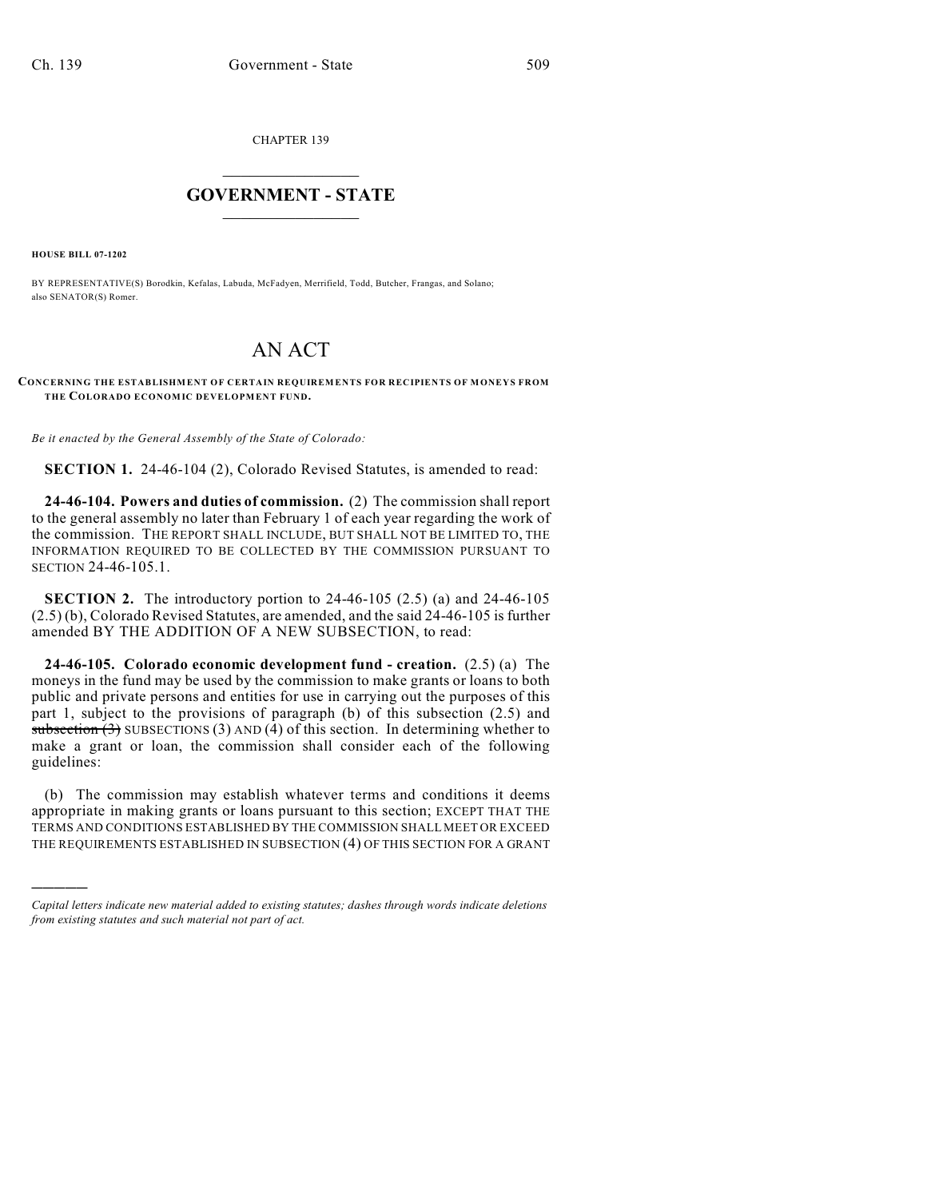CHAPTER 139

## $\mathcal{L}_\text{max}$  . The set of the set of the set of the set of the set of the set of the set of the set of the set of the set of the set of the set of the set of the set of the set of the set of the set of the set of the set **GOVERNMENT - STATE**  $\_$   $\_$   $\_$   $\_$   $\_$   $\_$   $\_$   $\_$

**HOUSE BILL 07-1202**

)))))

BY REPRESENTATIVE(S) Borodkin, Kefalas, Labuda, McFadyen, Merrifield, Todd, Butcher, Frangas, and Solano; also SENATOR(S) Romer.

## AN ACT

## **CONCERNING THE ESTABLISHMENT OF CERTAIN REQUIREMENTS FOR RECIPIENTS OF MONEYS FROM THE COLORADO ECONOMIC DEVELOPMENT FUND.**

*Be it enacted by the General Assembly of the State of Colorado:*

**SECTION 1.** 24-46-104 (2), Colorado Revised Statutes, is amended to read:

**24-46-104. Powers and duties of commission.** (2) The commission shall report to the general assembly no later than February 1 of each year regarding the work of the commission. THE REPORT SHALL INCLUDE, BUT SHALL NOT BE LIMITED TO, THE INFORMATION REQUIRED TO BE COLLECTED BY THE COMMISSION PURSUANT TO SECTION 24-46-105.1.

**SECTION 2.** The introductory portion to 24-46-105 (2.5) (a) and 24-46-105 (2.5) (b), Colorado Revised Statutes, are amended, and the said 24-46-105 is further amended BY THE ADDITION OF A NEW SUBSECTION, to read:

**24-46-105. Colorado economic development fund - creation.** (2.5) (a) The moneys in the fund may be used by the commission to make grants or loans to both public and private persons and entities for use in carrying out the purposes of this part 1, subject to the provisions of paragraph (b) of this subsection (2.5) and subsection  $(3)$  SUBSECTIONS  $(3)$  AND  $(4)$  of this section. In determining whether to make a grant or loan, the commission shall consider each of the following guidelines:

(b) The commission may establish whatever terms and conditions it deems appropriate in making grants or loans pursuant to this section; EXCEPT THAT THE TERMS AND CONDITIONS ESTABLISHED BY THE COMMISSION SHALL MEET OR EXCEED THE REQUIREMENTS ESTABLISHED IN SUBSECTION (4) OF THIS SECTION FOR A GRANT

*Capital letters indicate new material added to existing statutes; dashes through words indicate deletions from existing statutes and such material not part of act.*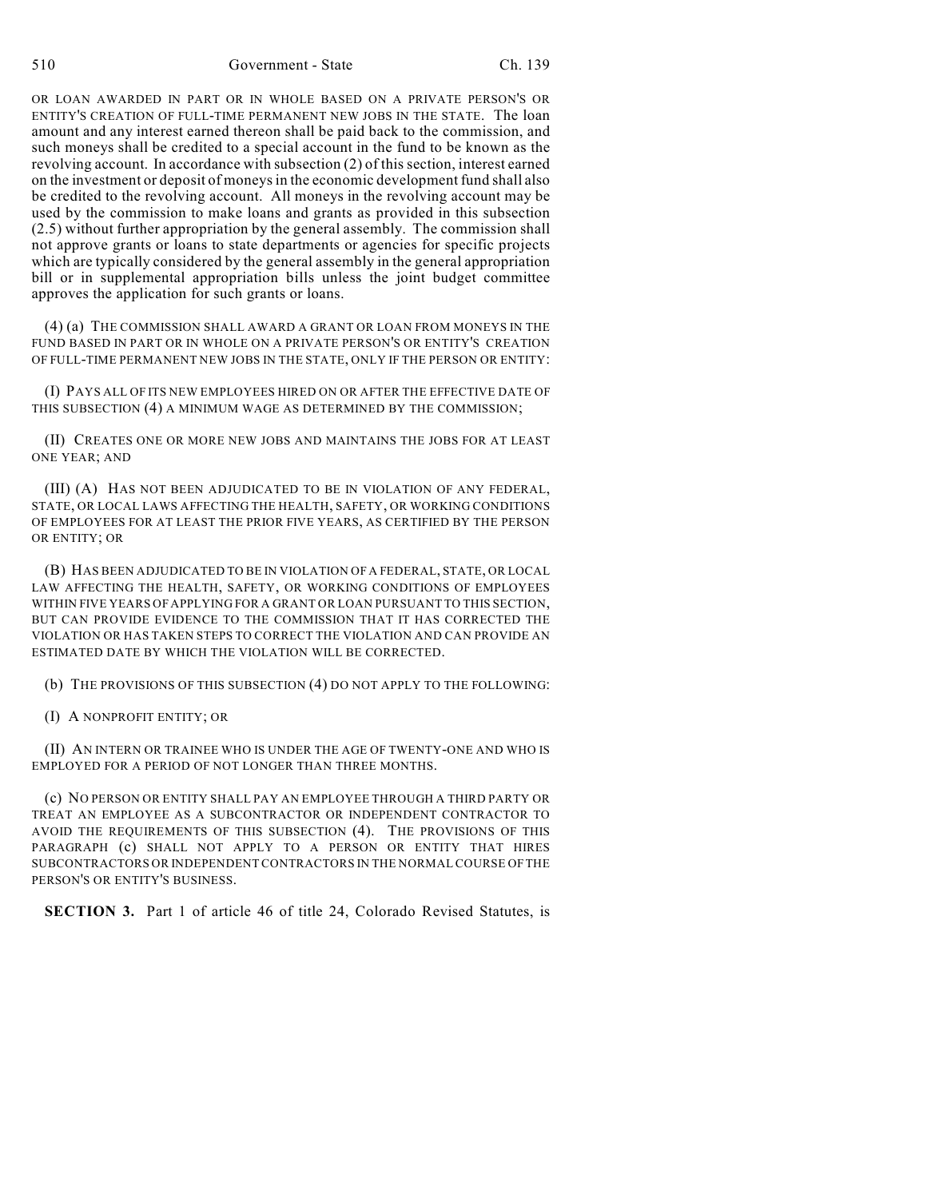OR LOAN AWARDED IN PART OR IN WHOLE BASED ON A PRIVATE PERSON'S OR ENTITY'S CREATION OF FULL-TIME PERMANENT NEW JOBS IN THE STATE. The loan amount and any interest earned thereon shall be paid back to the commission, and such moneys shall be credited to a special account in the fund to be known as the revolving account. In accordance with subsection (2) of this section, interest earned on the investment or deposit of moneys in the economic development fund shall also be credited to the revolving account. All moneys in the revolving account may be used by the commission to make loans and grants as provided in this subsection (2.5) without further appropriation by the general assembly. The commission shall not approve grants or loans to state departments or agencies for specific projects which are typically considered by the general assembly in the general appropriation bill or in supplemental appropriation bills unless the joint budget committee approves the application for such grants or loans.

(4) (a) THE COMMISSION SHALL AWARD A GRANT OR LOAN FROM MONEYS IN THE FUND BASED IN PART OR IN WHOLE ON A PRIVATE PERSON'S OR ENTITY'S CREATION OF FULL-TIME PERMANENT NEW JOBS IN THE STATE, ONLY IF THE PERSON OR ENTITY:

(I) PAYS ALL OF ITS NEW EMPLOYEES HIRED ON OR AFTER THE EFFECTIVE DATE OF THIS SUBSECTION (4) A MINIMUM WAGE AS DETERMINED BY THE COMMISSION;

(II) CREATES ONE OR MORE NEW JOBS AND MAINTAINS THE JOBS FOR AT LEAST ONE YEAR; AND

(III) (A) HAS NOT BEEN ADJUDICATED TO BE IN VIOLATION OF ANY FEDERAL, STATE, OR LOCAL LAWS AFFECTING THE HEALTH, SAFETY, OR WORKING CONDITIONS OF EMPLOYEES FOR AT LEAST THE PRIOR FIVE YEARS, AS CERTIFIED BY THE PERSON OR ENTITY; OR

(B) HAS BEEN ADJUDICATED TO BE IN VIOLATION OF A FEDERAL, STATE, OR LOCAL LAW AFFECTING THE HEALTH, SAFETY, OR WORKING CONDITIONS OF EMPLOYEES WITHIN FIVE YEARS OF APPLYING FOR A GRANT OR LOAN PURSUANT TO THIS SECTION, BUT CAN PROVIDE EVIDENCE TO THE COMMISSION THAT IT HAS CORRECTED THE VIOLATION OR HAS TAKEN STEPS TO CORRECT THE VIOLATION AND CAN PROVIDE AN ESTIMATED DATE BY WHICH THE VIOLATION WILL BE CORRECTED.

- (b) THE PROVISIONS OF THIS SUBSECTION (4) DO NOT APPLY TO THE FOLLOWING:
- (I) A NONPROFIT ENTITY; OR

(II) AN INTERN OR TRAINEE WHO IS UNDER THE AGE OF TWENTY-ONE AND WHO IS EMPLOYED FOR A PERIOD OF NOT LONGER THAN THREE MONTHS.

(c) NO PERSON OR ENTITY SHALL PAY AN EMPLOYEE THROUGH A THIRD PARTY OR TREAT AN EMPLOYEE AS A SUBCONTRACTOR OR INDEPENDENT CONTRACTOR TO AVOID THE REQUIREMENTS OF THIS SUBSECTION (4). THE PROVISIONS OF THIS PARAGRAPH (c) SHALL NOT APPLY TO A PERSON OR ENTITY THAT HIRES SUBCONTRACTORS OR INDEPENDENT CONTRACTORS IN THE NORMAL COURSE OF THE PERSON'S OR ENTITY'S BUSINESS.

**SECTION 3.** Part 1 of article 46 of title 24, Colorado Revised Statutes, is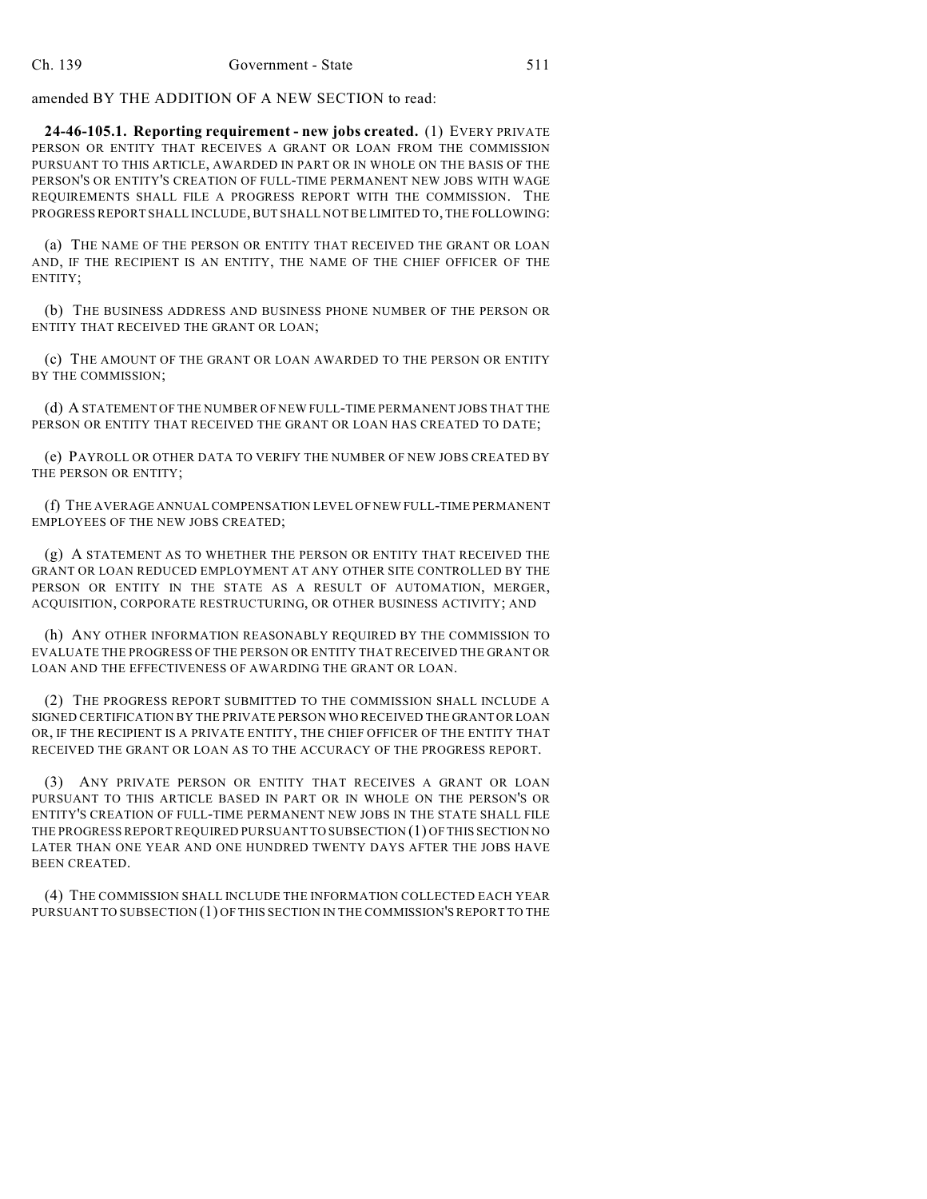amended BY THE ADDITION OF A NEW SECTION to read:

**24-46-105.1. Reporting requirement - new jobs created.** (1) EVERY PRIVATE PERSON OR ENTITY THAT RECEIVES A GRANT OR LOAN FROM THE COMMISSION PURSUANT TO THIS ARTICLE, AWARDED IN PART OR IN WHOLE ON THE BASIS OF THE PERSON'S OR ENTITY'S CREATION OF FULL-TIME PERMANENT NEW JOBS WITH WAGE REQUIREMENTS SHALL FILE A PROGRESS REPORT WITH THE COMMISSION. THE PROGRESS REPORT SHALL INCLUDE, BUT SHALL NOT BE LIMITED TO, THE FOLLOWING:

(a) THE NAME OF THE PERSON OR ENTITY THAT RECEIVED THE GRANT OR LOAN AND, IF THE RECIPIENT IS AN ENTITY, THE NAME OF THE CHIEF OFFICER OF THE ENTITY;

(b) THE BUSINESS ADDRESS AND BUSINESS PHONE NUMBER OF THE PERSON OR ENTITY THAT RECEIVED THE GRANT OR LOAN;

(c) THE AMOUNT OF THE GRANT OR LOAN AWARDED TO THE PERSON OR ENTITY BY THE COMMISSION;

(d) A STATEMENT OF THE NUMBER OF NEW FULL-TIME PERMANENT JOBS THAT THE PERSON OR ENTITY THAT RECEIVED THE GRANT OR LOAN HAS CREATED TO DATE;

(e) PAYROLL OR OTHER DATA TO VERIFY THE NUMBER OF NEW JOBS CREATED BY THE PERSON OR ENTITY;

(f) THE AVERAGE ANNUAL COMPENSATION LEVEL OF NEW FULL-TIME PERMANENT EMPLOYEES OF THE NEW JOBS CREATED;

(g) A STATEMENT AS TO WHETHER THE PERSON OR ENTITY THAT RECEIVED THE GRANT OR LOAN REDUCED EMPLOYMENT AT ANY OTHER SITE CONTROLLED BY THE PERSON OR ENTITY IN THE STATE AS A RESULT OF AUTOMATION, MERGER, ACQUISITION, CORPORATE RESTRUCTURING, OR OTHER BUSINESS ACTIVITY; AND

(h) ANY OTHER INFORMATION REASONABLY REQUIRED BY THE COMMISSION TO EVALUATE THE PROGRESS OF THE PERSON OR ENTITY THAT RECEIVED THE GRANT OR LOAN AND THE EFFECTIVENESS OF AWARDING THE GRANT OR LOAN.

(2) THE PROGRESS REPORT SUBMITTED TO THE COMMISSION SHALL INCLUDE A SIGNED CERTIFICATION BY THE PRIVATE PERSON WHO RECEIVED THE GRANT OR LOAN OR, IF THE RECIPIENT IS A PRIVATE ENTITY, THE CHIEF OFFICER OF THE ENTITY THAT RECEIVED THE GRANT OR LOAN AS TO THE ACCURACY OF THE PROGRESS REPORT.

(3) ANY PRIVATE PERSON OR ENTITY THAT RECEIVES A GRANT OR LOAN PURSUANT TO THIS ARTICLE BASED IN PART OR IN WHOLE ON THE PERSON'S OR ENTITY'S CREATION OF FULL-TIME PERMANENT NEW JOBS IN THE STATE SHALL FILE THE PROGRESS REPORT REQUIRED PURSUANT TO SUBSECTION (1) OF THIS SECTION NO LATER THAN ONE YEAR AND ONE HUNDRED TWENTY DAYS AFTER THE JOBS HAVE BEEN CREATED.

(4) THE COMMISSION SHALL INCLUDE THE INFORMATION COLLECTED EACH YEAR PURSUANT TO SUBSECTION (1) OF THIS SECTION IN THE COMMISSION'S REPORT TO THE